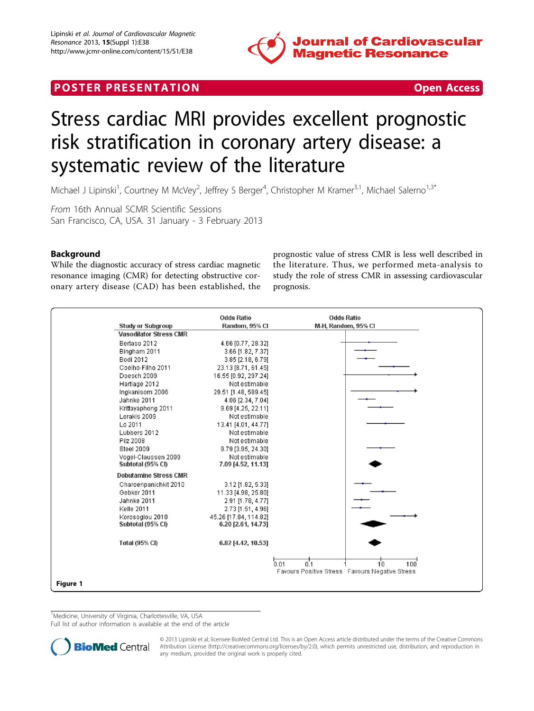

# <span id="page-0-0"></span>**POSTER PRESENTATION CONSUMING THE SECOND CONSUMING THE SECOND CONSUMING THE SECOND CONSUMING THE SECOND CONSUMING THE SECOND CONSUMING THE SECOND CONSUMING THE SECOND CONSUMING THE SECOND CONSUMING THE SECOND CONSUMING**



# Stress cardiac MRI provides excellent prognostic risk stratification in coronary artery disease: a systematic review of the literature

Michael J Lipinski<sup>1</sup>, Courtney M McVey<sup>2</sup>, Jeffrey S Berger<sup>4</sup>, Christopher M Kramer<sup>3,1</sup>, Michael Salerno<sup>1,3\*</sup>

From 16th Annual SCMR Scientific Sessions San Francisco, CA, USA. 31 January - 3 February 2013

## Background

While the diagnostic accuracy of stress cardiac magnetic resonance imaging (CMR) for detecting obstructive coronary artery disease (CAD) has been established, the prognostic value of stress CMR is less well described in the literature. Thus, we performed meta-analysis to study the role of stress CMR in assessing cardiovascular prognosis.



<sup>1</sup>Medicine, University of Virginia, Charlottesville, VA, USA

Full list of author information is available at the end of the article



© 2013 Lipinski et al; licensee BioMed Central Ltd. This is an Open Access article distributed under the terms of the Creative Commons Attribution License [\(http://creativecommons.org/licenses/by/2.0](http://creativecommons.org/licenses/by/2.0)), which permits unrestricted use, distribution, and reproduction in any medium, provided the original work is properly cited.